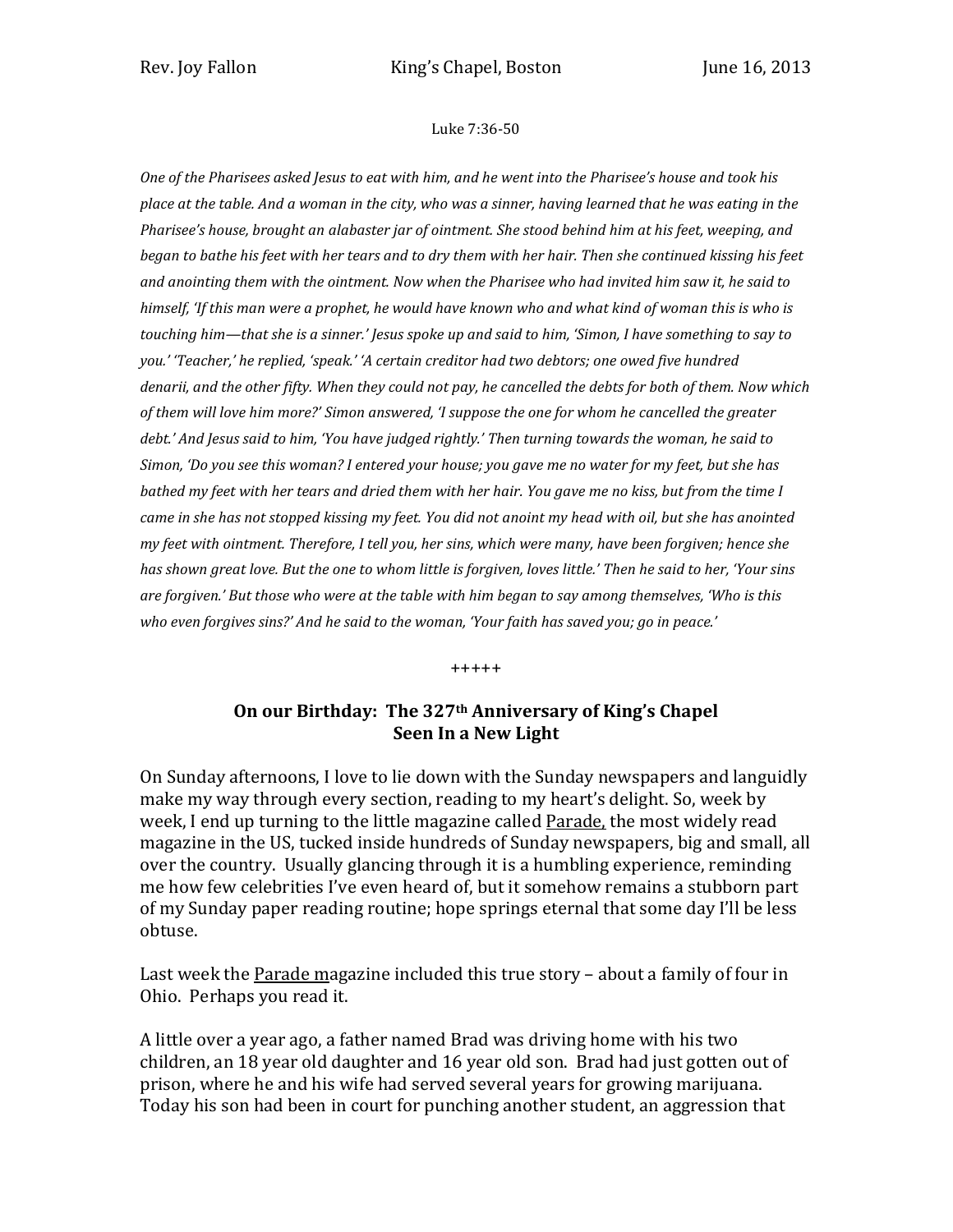## Luke 7:36-50

*One of the Pharisees asked Jesus to eat with him, and he went into the Pharisee's house and took his place at the table. And a woman in the city, who was a sinner, having learned that he was eating in the Pharisee's house, brought an alabaster jar of ointment. She stood behind him at his feet, weeping, and began to bathe his feet with her tears and to dry them with her hair. Then she continued kissing his feet and anointing them with the ointment. Now when the Pharisee who had invited him saw it, he said to himself, 'If this man were a prophet, he would have known who and what kind of woman this is who is touching him—that she is a sinner.' Jesus spoke up and said to him, 'Simon, I have something to say to you.' 'Teacher,' he replied, 'speak.' 'A certain creditor had two debtors; one owed five hundred denarii, and the other fifty. When they could not pay, he cancelled the debts for both of them. Now which of them will love him more?' Simon answered, 'I suppose the one for whom he cancelled the greater debt.' And Jesus said to him, 'You have judged rightly.' Then turning towards the woman, he said to Simon, 'Do you see this woman? I entered your house; you gave me no water for my feet, but she has bathed my feet with her tears and dried them with her hair. You gave me no kiss, but from the time I came in she has not stopped kissing my feet. You did not anoint my head with oil, but she has anointed my feet with ointment. Therefore, I tell you, her sins, which were many, have been forgiven; hence she has shown great love. But the one to whom little is forgiven, loves little.' Then he said to her, 'Your sins are forgiven.' But those who were at the table with him began to say among themselves, 'Who is this who even forgives sins?' And he said to the woman, 'Your faith has saved you; go in peace.'*

+++++

## **On our Birthday: The 327th Anniversary of King's Chapel Seen In a New Light**

On Sunday afternoons, I love to lie down with the Sunday newspapers and languidly make my way through every section, reading to my heart's delight. So, week by week, I end up turning to the little magazine called Parade, the most widely read magazine in the US, tucked inside hundreds of Sunday newspapers, big and small, all over the country. Usually glancing through it is a humbling experience, reminding me how few celebrities I've even heard of, but it somehow remains a stubborn part of my Sunday paper reading routine; hope springs eternal that some day I'll be less obtuse.

Last week the Parade magazine included this true story – about a family of four in Ohio. Perhaps you read it.

A little over a year ago, a father named Brad was driving home with his two children, an 18 year old daughter and 16 year old son. Brad had just gotten out of prison, where he and his wife had served several years for growing marijuana. Today his son had been in court for punching another student, an aggression that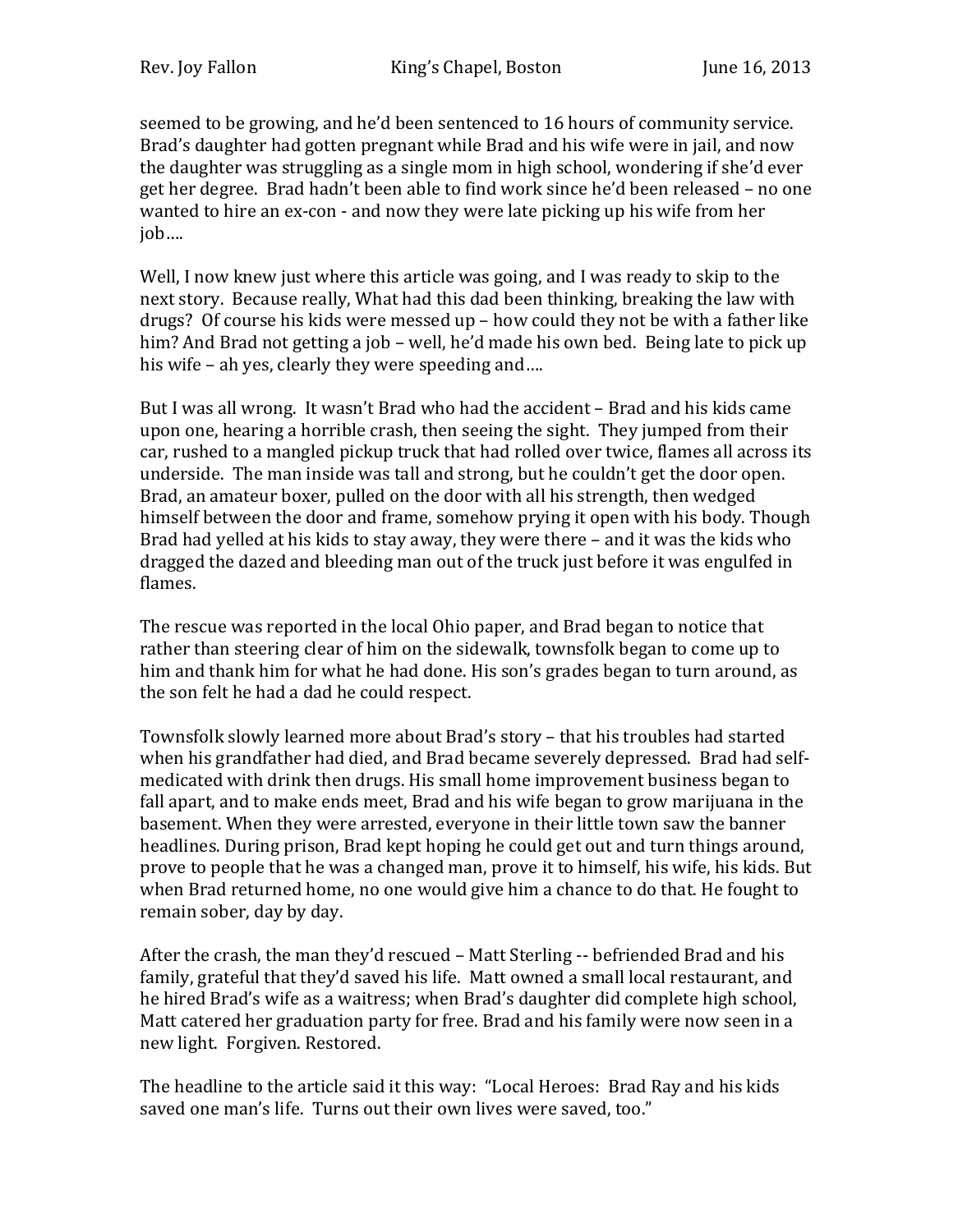seemed to be growing, and he'd been sentenced to 16 hours of community service. Brad's daughter had gotten pregnant while Brad and his wife were in jail, and now the daughter was struggling as a single mom in high school, wondering if she'd ever get her degree. Brad hadn't been able to find work since he'd been released – no one wanted to hire an ex-con - and now they were late picking up his wife from her job….

Well, I now knew just where this article was going, and I was ready to skip to the next story. Because really, What had this dad been thinking, breaking the law with drugs? Of course his kids were messed up – how could they not be with a father like him? And Brad not getting a job – well, he'd made his own bed. Being late to pick up his wife – ah yes, clearly they were speeding and….

But I was all wrong. It wasn't Brad who had the accident – Brad and his kids came upon one, hearing a horrible crash, then seeing the sight. They jumped from their car, rushed to a mangled pickup truck that had rolled over twice, flames all across its underside. The man inside was tall and strong, but he couldn't get the door open. Brad, an amateur boxer, pulled on the door with all his strength, then wedged himself between the door and frame, somehow prying it open with his body. Though Brad had yelled at his kids to stay away, they were there – and it was the kids who dragged the dazed and bleeding man out of the truck just before it was engulfed in flames.

The rescue was reported in the local Ohio paper, and Brad began to notice that rather than steering clear of him on the sidewalk, townsfolk began to come up to him and thank him for what he had done. His son's grades began to turn around, as the son felt he had a dad he could respect.

Townsfolk slowly learned more about Brad's story – that his troubles had started when his grandfather had died, and Brad became severely depressed. Brad had selfmedicated with drink then drugs. His small home improvement business began to fall apart, and to make ends meet, Brad and his wife began to grow marijuana in the basement. When they were arrested, everyone in their little town saw the banner headlines. During prison, Brad kept hoping he could get out and turn things around, prove to people that he was a changed man, prove it to himself, his wife, his kids. But when Brad returned home, no one would give him a chance to do that. He fought to remain sober, day by day.

After the crash, the man they'd rescued – Matt Sterling -- befriended Brad and his family, grateful that they'd saved his life. Matt owned a small local restaurant, and he hired Brad's wife as a waitress; when Brad's daughter did complete high school, Matt catered her graduation party for free. Brad and his family were now seen in a new light. Forgiven. Restored.

The headline to the article said it this way: "Local Heroes: Brad Ray and his kids saved one man's life. Turns out their own lives were saved, too."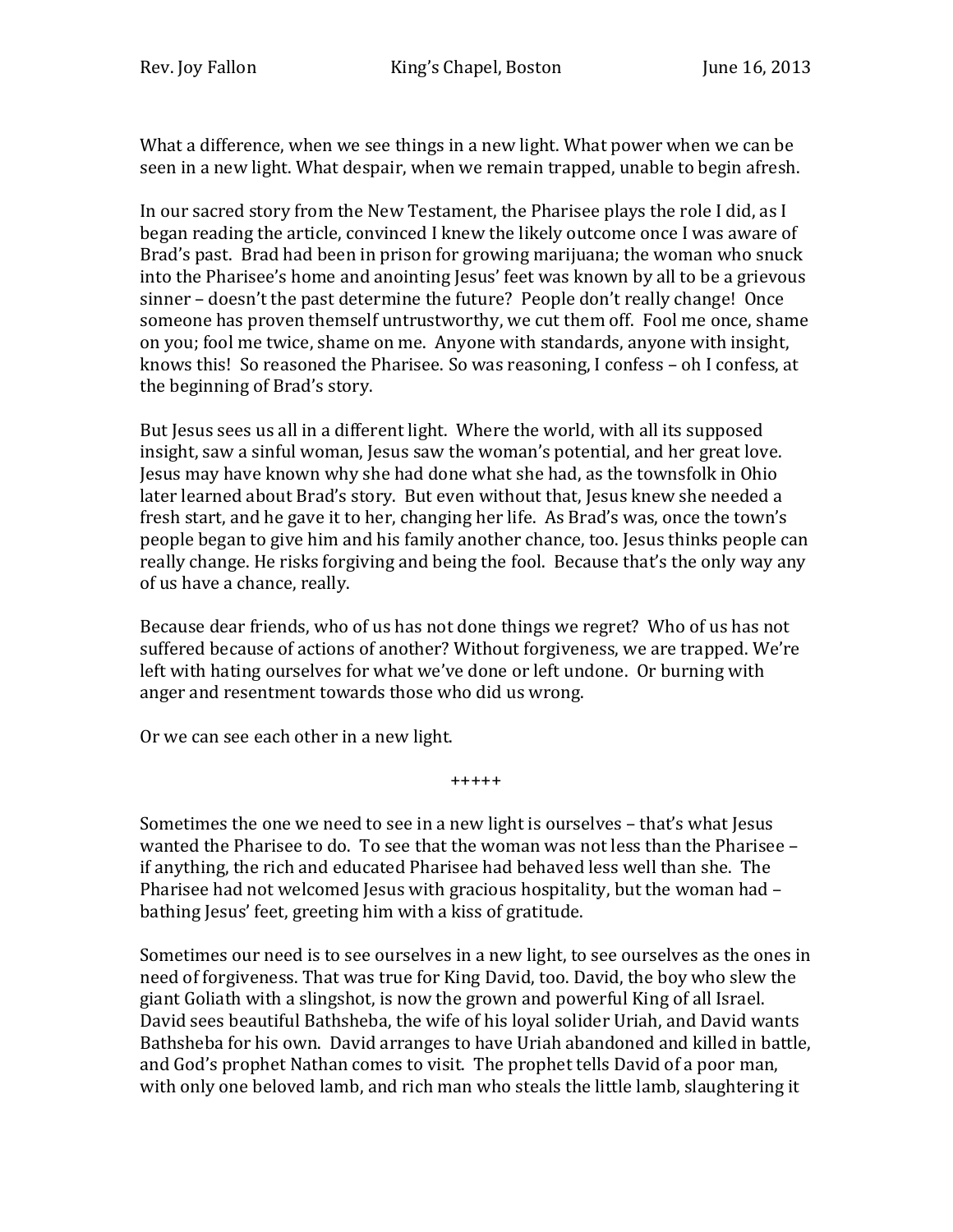What a difference, when we see things in a new light. What power when we can be seen in a new light. What despair, when we remain trapped, unable to begin afresh.

In our sacred story from the New Testament, the Pharisee plays the role I did, as I began reading the article, convinced I knew the likely outcome once I was aware of Brad's past. Brad had been in prison for growing marijuana; the woman who snuck into the Pharisee's home and anointing Jesus' feet was known by all to be a grievous sinner – doesn't the past determine the future? People don't really change! Once someone has proven themself untrustworthy, we cut them off. Fool me once, shame on you; fool me twice, shame on me. Anyone with standards, anyone with insight, knows this! So reasoned the Pharisee. So was reasoning, I confess – oh I confess, at the beginning of Brad's story.

But Jesus sees us all in a different light. Where the world, with all its supposed insight, saw a sinful woman, Jesus saw the woman's potential, and her great love. Jesus may have known why she had done what she had, as the townsfolk in Ohio later learned about Brad's story. But even without that, Jesus knew she needed a fresh start, and he gave it to her, changing her life. As Brad's was, once the town's people began to give him and his family another chance, too. Jesus thinks people can really change. He risks forgiving and being the fool. Because that's the only way any of us have a chance, really.

Because dear friends, who of us has not done things we regret? Who of us has not suffered because of actions of another? Without forgiveness, we are trapped. We're left with hating ourselves for what we've done or left undone. Or burning with anger and resentment towards those who did us wrong.

Or we can see each other in a new light.

+++++

Sometimes the one we need to see in a new light is ourselves – that's what Jesus wanted the Pharisee to do. To see that the woman was not less than the Pharisee – if anything, the rich and educated Pharisee had behaved less well than she. The Pharisee had not welcomed Jesus with gracious hospitality, but the woman had – bathing Jesus' feet, greeting him with a kiss of gratitude.

Sometimes our need is to see ourselves in a new light, to see ourselves as the ones in need of forgiveness. That was true for King David, too. David, the boy who slew the giant Goliath with a slingshot, is now the grown and powerful King of all Israel. David sees beautiful Bathsheba, the wife of his loyal solider Uriah, and David wants Bathsheba for his own. David arranges to have Uriah abandoned and killed in battle, and God's prophet Nathan comes to visit. The prophet tells David of a poor man, with only one beloved lamb, and rich man who steals the little lamb, slaughtering it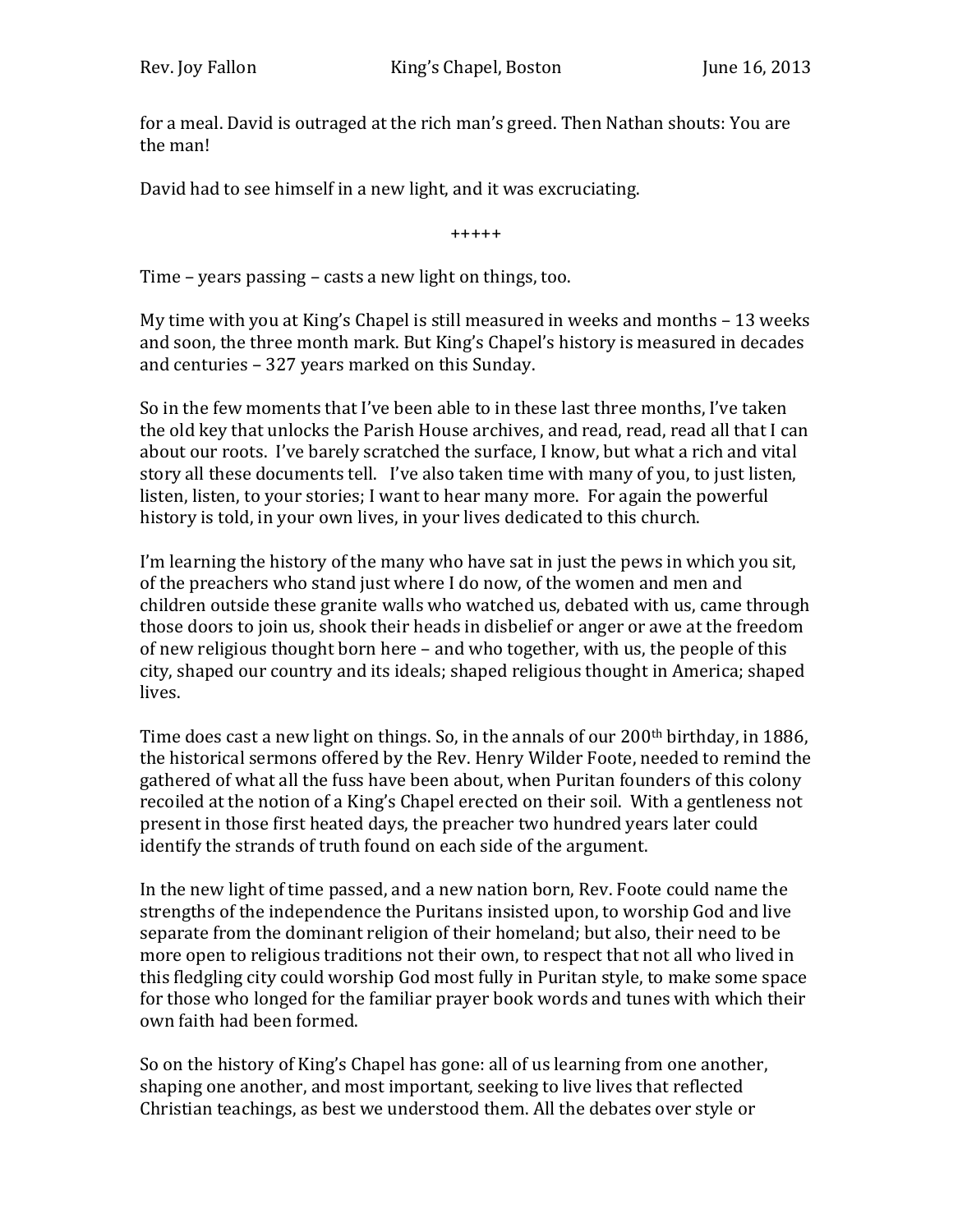for a meal. David is outraged at the rich man's greed. Then Nathan shouts: You are the man!

David had to see himself in a new light, and it was excruciating.

+++++

Time – years passing – casts a new light on things, too.

My time with you at King's Chapel is still measured in weeks and months – 13 weeks and soon, the three month mark. But King's Chapel's history is measured in decades and centuries – 327 years marked on this Sunday.

So in the few moments that I've been able to in these last three months, I've taken the old key that unlocks the Parish House archives, and read, read, read all that I can about our roots. I've barely scratched the surface, I know, but what a rich and vital story all these documents tell. I've also taken time with many of you, to just listen, listen, listen, to your stories; I want to hear many more. For again the powerful history is told, in your own lives, in your lives dedicated to this church.

I'm learning the history of the many who have sat in just the pews in which you sit, of the preachers who stand just where I do now, of the women and men and children outside these granite walls who watched us, debated with us, came through those doors to join us, shook their heads in disbelief or anger or awe at the freedom of new religious thought born here – and who together, with us, the people of this city, shaped our country and its ideals; shaped religious thought in America; shaped lives.

Time does cast a new light on things. So, in the annals of our 200th birthday, in 1886, the historical sermons offered by the Rev. Henry Wilder Foote, needed to remind the gathered of what all the fuss have been about, when Puritan founders of this colony recoiled at the notion of a King's Chapel erected on their soil. With a gentleness not present in those first heated days, the preacher two hundred years later could identify the strands of truth found on each side of the argument.

In the new light of time passed, and a new nation born, Rev. Foote could name the strengths of the independence the Puritans insisted upon, to worship God and live separate from the dominant religion of their homeland; but also, their need to be more open to religious traditions not their own, to respect that not all who lived in this fledgling city could worship God most fully in Puritan style, to make some space for those who longed for the familiar prayer book words and tunes with which their own faith had been formed.

So on the history of King's Chapel has gone: all of us learning from one another, shaping one another, and most important, seeking to live lives that reflected Christian teachings, as best we understood them. All the debates over style or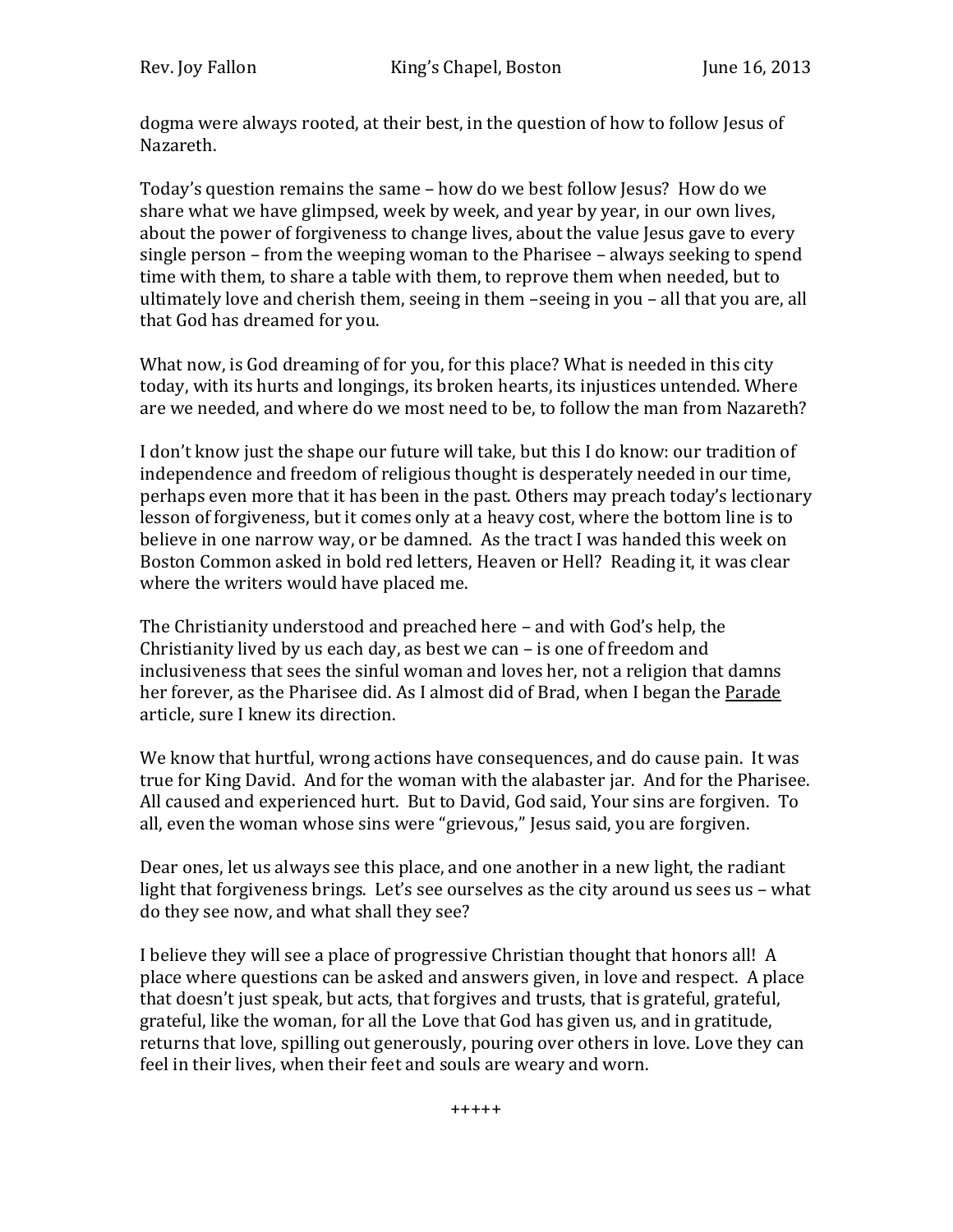dogma were always rooted, at their best, in the question of how to follow Jesus of Nazareth.

Today's question remains the same – how do we best follow Jesus? How do we share what we have glimpsed, week by week, and year by year, in our own lives, about the power of forgiveness to change lives, about the value Jesus gave to every single person – from the weeping woman to the Pharisee – always seeking to spend time with them, to share a table with them, to reprove them when needed, but to ultimately love and cherish them, seeing in them –seeing in you – all that you are, all that God has dreamed for you.

What now, is God dreaming of for you, for this place? What is needed in this city today, with its hurts and longings, its broken hearts, its injustices untended. Where are we needed, and where do we most need to be, to follow the man from Nazareth?

I don't know just the shape our future will take, but this I do know: our tradition of independence and freedom of religious thought is desperately needed in our time, perhaps even more that it has been in the past. Others may preach today's lectionary lesson of forgiveness, but it comes only at a heavy cost, where the bottom line is to believe in one narrow way, or be damned. As the tract I was handed this week on Boston Common asked in bold red letters, Heaven or Hell? Reading it, it was clear where the writers would have placed me.

The Christianity understood and preached here – and with God's help, the Christianity lived by us each day, as best we can – is one of freedom and inclusiveness that sees the sinful woman and loves her, not a religion that damns her forever, as the Pharisee did. As I almost did of Brad, when I began the Parade article, sure I knew its direction.

We know that hurtful, wrong actions have consequences, and do cause pain. It was true for King David. And for the woman with the alabaster jar. And for the Pharisee. All caused and experienced hurt. But to David, God said, Your sins are forgiven. To all, even the woman whose sins were "grievous," Jesus said, you are forgiven.

Dear ones, let us always see this place, and one another in a new light, the radiant light that forgiveness brings. Let's see ourselves as the city around us sees us – what do they see now, and what shall they see?

I believe they will see a place of progressive Christian thought that honors all! A place where questions can be asked and answers given, in love and respect. A place that doesn't just speak, but acts, that forgives and trusts, that is grateful, grateful, grateful, like the woman, for all the Love that God has given us, and in gratitude, returns that love, spilling out generously, pouring over others in love. Love they can feel in their lives, when their feet and souls are weary and worn.